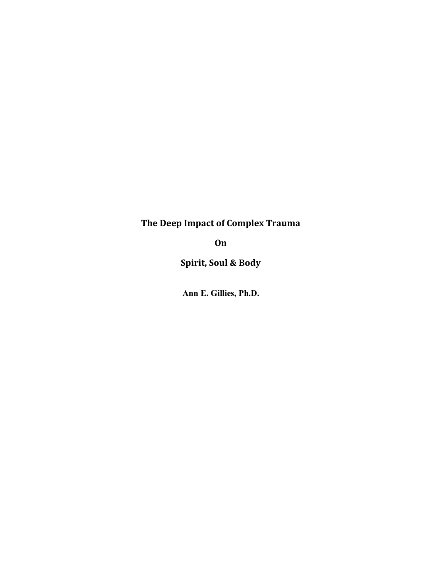# **The Deep Impact of Complex Trauma**

**On**

**Spirit, Soul & Body**

**Ann E. Gillies, Ph.D.**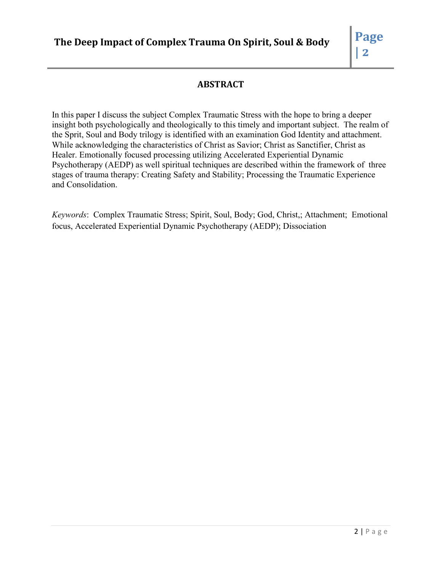## **ABSTRACT**

In this paper I discuss the subject Complex Traumatic Stress with the hope to bring a deeper insight both psychologically and theologically to this timely and important subject. The realm of the Sprit, Soul and Body trilogy is identified with an examination God Identity and attachment. While acknowledging the characteristics of Christ as Savior; Christ as Sanctifier, Christ as Healer. Emotionally focused processing utilizing Accelerated Experiential Dynamic Psychotherapy (AEDP) as well spiritual techniques are described within the framework of three stages of trauma therapy: Creating Safety and Stability; Processing the Traumatic Experience and Consolidation.

*Keywords*: Complex Traumatic Stress; Spirit, Soul, Body; God, Christ,; Attachment; Emotional focus, Accelerated Experiential Dynamic Psychotherapy (AEDP); Dissociation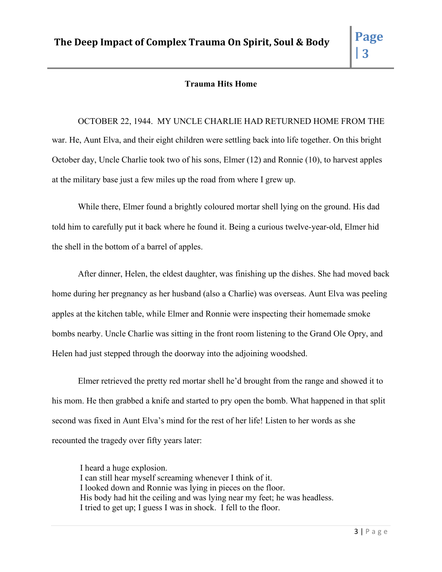## **Trauma Hits Home**

OCTOBER 22, 1944. MY UNCLE CHARLIE HAD RETURNED HOME FROM THE war. He, Aunt Elva, and their eight children were settling back into life together. On this bright October day, Uncle Charlie took two of his sons, Elmer (12) and Ronnie (10), to harvest apples at the military base just a few miles up the road from where I grew up.

While there, Elmer found a brightly coloured mortar shell lying on the ground. His dad told him to carefully put it back where he found it. Being a curious twelve-year-old, Elmer hid the shell in the bottom of a barrel of apples.

After dinner, Helen, the eldest daughter, was finishing up the dishes. She had moved back home during her pregnancy as her husband (also a Charlie) was overseas. Aunt Elva was peeling apples at the kitchen table, while Elmer and Ronnie were inspecting their homemade smoke bombs nearby. Uncle Charlie was sitting in the front room listening to the Grand Ole Opry, and Helen had just stepped through the doorway into the adjoining woodshed.

Elmer retrieved the pretty red mortar shell he'd brought from the range and showed it to his mom. He then grabbed a knife and started to pry open the bomb. What happened in that split second was fixed in Aunt Elva's mind for the rest of her life! Listen to her words as she recounted the tragedy over fifty years later:

I heard a huge explosion. I can still hear myself screaming whenever I think of it. I looked down and Ronnie was lying in pieces on the floor. His body had hit the ceiling and was lying near my feet; he was headless. I tried to get up; I guess I was in shock. I fell to the floor.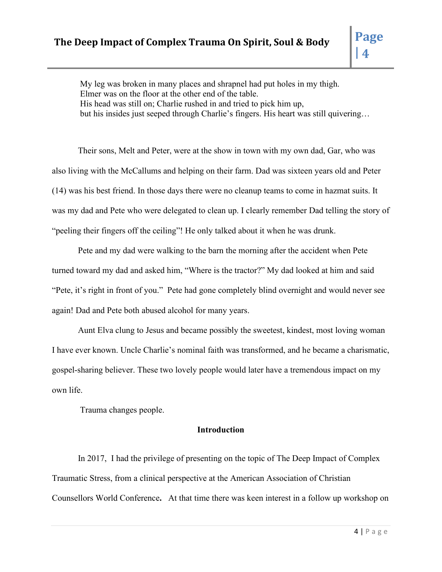My leg was broken in many places and shrapnel had put holes in my thigh. Elmer was on the floor at the other end of the table. His head was still on; Charlie rushed in and tried to pick him up, but his insides just seeped through Charlie's fingers. His heart was still quivering…

Their sons, Melt and Peter, were at the show in town with my own dad, Gar, who was also living with the McCallums and helping on their farm. Dad was sixteen years old and Peter (14) was his best friend. In those days there were no cleanup teams to come in hazmat suits. It was my dad and Pete who were delegated to clean up. I clearly remember Dad telling the story of "peeling their fingers off the ceiling"! He only talked about it when he was drunk.

Pete and my dad were walking to the barn the morning after the accident when Pete turned toward my dad and asked him, "Where is the tractor?" My dad looked at him and said "Pete, it's right in front of you." Pete had gone completely blind overnight and would never see again! Dad and Pete both abused alcohol for many years.

Aunt Elva clung to Jesus and became possibly the sweetest, kindest, most loving woman I have ever known. Uncle Charlie's nominal faith was transformed, and he became a charismatic, gospel-sharing believer. These two lovely people would later have a tremendous impact on my own life.

Trauma changes people.

## **Introduction**

In 2017, I had the privilege of presenting on the topic of The Deep Impact of Complex Traumatic Stress, from a clinical perspective at the American Association of Christian Counsellors World Conference**.** At that time there was keen interest in a follow up workshop on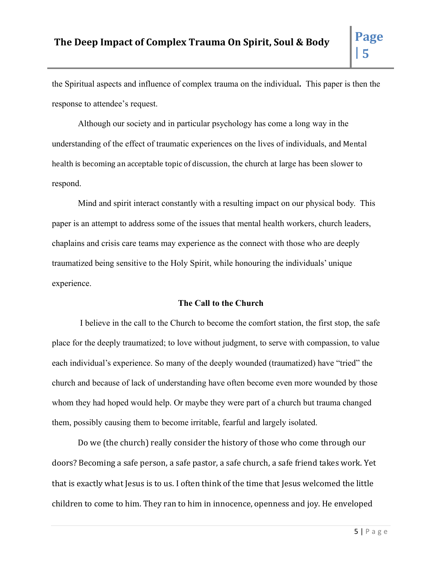the Spiritual aspects and influence of complex trauma on the individual**.** This paper is then the response to attendee's request.

Although our society and in particular psychology has come a long way in the understanding of the effect of traumatic experiences on the lives of individuals, and Mental health is becoming an acceptable topic of discussion, the church at large has been slower to respond.

Mind and spirit interact constantly with a resulting impact on our physical body. This paper is an attempt to address some of the issues that mental health workers, church leaders, chaplains and crisis care teams may experience as the connect with those who are deeply traumatized being sensitive to the Holy Spirit, while honouring the individuals' unique experience.

## **The Call to the Church**

I believe in the call to the Church to become the comfort station, the first stop, the safe place for the deeply traumatized; to love without judgment, to serve with compassion, to value each individual's experience. So many of the deeply wounded (traumatized) have "tried" the church and because of lack of understanding have often become even more wounded by those whom they had hoped would help. Or maybe they were part of a church but trauma changed them, possibly causing them to become irritable, fearful and largely isolated.

Do we (the church) really consider the history of those who come through our doors? Becoming a safe person, a safe pastor, a safe church, a safe friend takes work. Yet that is exactly what Jesus is to us. I often think of the time that Jesus welcomed the little children to come to him. They ran to him in innocence, openness and joy. He enveloped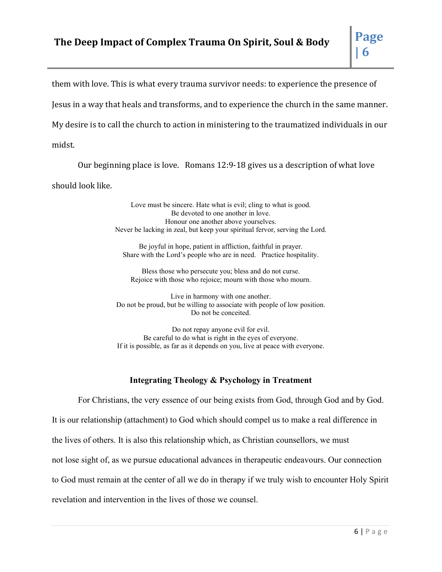them with love. This is what every trauma survivor needs: to experience the presence of Jesus in a way that heals and transforms, and to experience the church in the same manner. My desire is to call the church to action in ministering to the traumatized individuals in our midst.

Our beginning place is love. Romans 12:9-18 gives us a description of what love should look like.

> Love must be sincere. Hate what is evil; cling to what is good. Be devoted to one another in love. Honour one another above yourselves. Never be lacking in zeal, but keep your spiritual fervor, serving the Lord.

Be joyful in hope, patient in affliction, faithful in prayer. Share with the Lord's people who are in need. Practice hospitality.

Bless those who persecute you; bless and do not curse. Rejoice with those who rejoice; mourn with those who mourn.

Live in harmony with one another. Do not be proud, but be willing to associate with people of low position. Do not be conceited.

Do not repay anyone evil for evil. Be careful to do what is right in the eyes of everyone. If it is possible, as far as it depends on you, live at peace with everyone.

## **Integrating Theology & Psychology in Treatment**

For Christians, the very essence of our being exists from God, through God and by God. It is our relationship (attachment) to God which should compel us to make a real difference in the lives of others. It is also this relationship which, as Christian counsellors, we must not lose sight of, as we pursue educational advances in therapeutic endeavours. Our connection to God must remain at the center of all we do in therapy if we truly wish to encounter Holy Spirit revelation and intervention in the lives of those we counsel.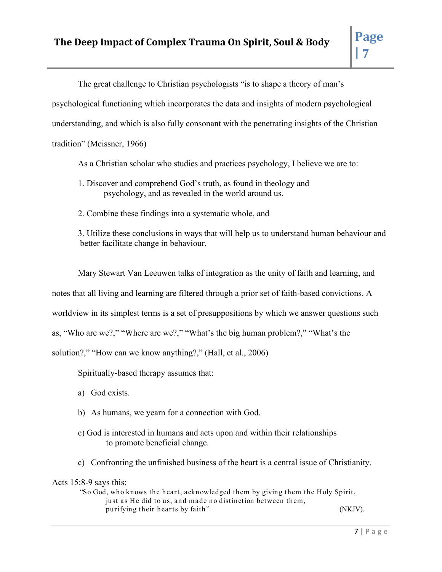The great challenge to Christian psychologists "is to shape a theory of man's

psychological functioning which incorporates the data and insights of modern psychological

understanding, and which is also fully consonant with the penetrating insights of the Christian

tradition" (Meissner, 1966)

As a Christian scholar who studies and practices psychology, I believe we are to:

- 1. Discover and comprehend God's truth, as found in theology and psychology, and as revealed in the world around us.
- 2. Combine these findings into a systematic whole, and

3. Utilize these conclusions in ways that will help us to understand human behaviour and better facilitate change in behaviour.

Mary Stewart Van Leeuwen talks of integration as the unity of faith and learning, and notes that all living and learning are filtered through a prior set of faith-based convictions. A worldview in its simplest terms is a set of presuppositions by which we answer questions such as, "Who are we?," "Where are we?," "What's the big human problem?," "What's the solution?," "How can we know anything?," (Hall, et al., 2006)

Spiritually-based therapy assumes that:

- a) God exists.
- b) As humans, we yearn for a connection with God.
- c) God is interested in humans and acts upon and within their relationships to promote beneficial change.
- c) Confronting the unfinished business of the heart is a central issue of Christianity.

## Acts 15:8-9 says this:

"So God, who knows the heart, acknowledged them by giving them the Holy Spirit, just as He did to us, and made no distinction between them, purifying their hearts by faith" (NKJV).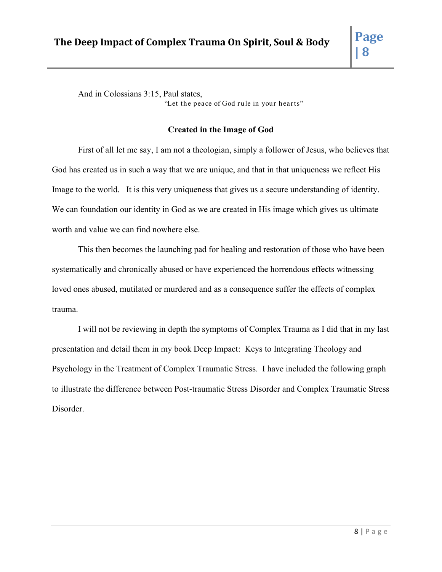And in Colossians 3:15, Paul states, "Let the peace of God rule in your hearts"

## **Created in the Image of God**

First of all let me say, I am not a theologian, simply a follower of Jesus, who believes that God has created us in such a way that we are unique, and that in that uniqueness we reflect His Image to the world. It is this very uniqueness that gives us a secure understanding of identity. We can foundation our identity in God as we are created in His image which gives us ultimate worth and value we can find nowhere else.

This then becomes the launching pad for healing and restoration of those who have been systematically and chronically abused or have experienced the horrendous effects witnessing loved ones abused, mutilated or murdered and as a consequence suffer the effects of complex trauma.

I will not be reviewing in depth the symptoms of Complex Trauma as I did that in my last presentation and detail them in my book Deep Impact: Keys to Integrating Theology and Psychology in the Treatment of Complex Traumatic Stress. I have included the following graph to illustrate the difference between Post-traumatic Stress Disorder and Complex Traumatic Stress Disorder.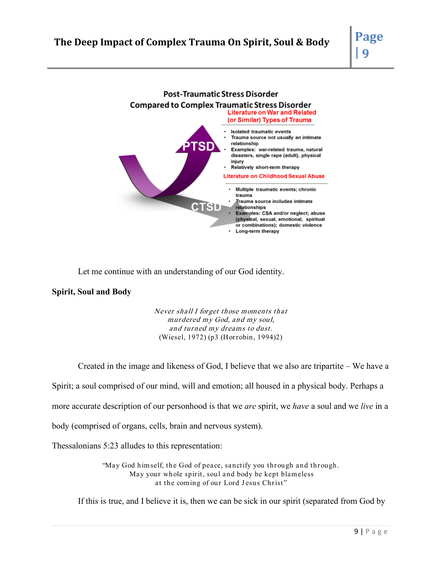

Let me continue with an understanding of our God identity.

## **Spirit, Soul and Body**

Never shall I forget those moments that murdered my God, and my soul, and turned my dreams to dust. (Wiesel, 1972) (p3 (Horrobin, 1994)2)

Created in the image and likeness of God, I believe that we also are tripartite – We have a

Spirit; a soul comprised of our mind, will and emotion; all housed in a physical body. Perhaps a

more accurate description of our personhood is that we *are* spirit, we *have* a soul and we *live* in a

body (comprised of organs, cells, brain and nervous system).

Thessalonians 5:23 alludes to this representation:

"May God himself, the God of peace, sanctify you through and through. May your whole spirit, soul and body be kept blameless at the coming of our Lord Jesus Christ"

If this is true, and I believe it is, then we can be sick in our spirit (separated from God by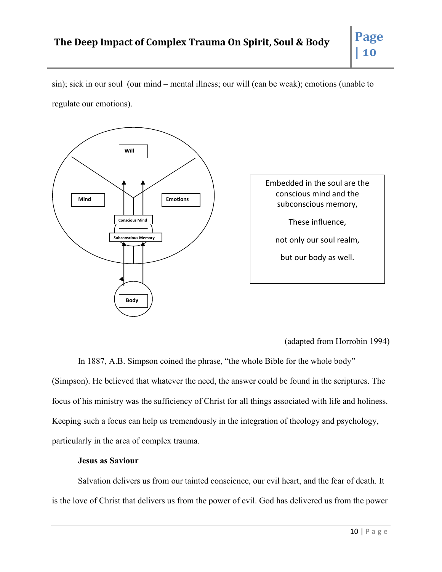sin); sick in our soul (our mind – mental illness; our will (can be weak); emotions (unable to regulate our emotions).



Embedded in the soul are the conscious mind and the subconscious memory, These influence, not only our soul realm, but our body as well.

(adapted from Horrobin 1994)

In 1887, A.B. Simpson coined the phrase, "the whole Bible for the whole body" (Simpson). He believed that whatever the need, the answer could be found in the scriptures. The focus of his ministry was the sufficiency of Christ for all things associated with life and holiness. Keeping such a focus can help us tremendously in the integration of theology and psychology, particularly in the area of complex trauma.

## **Jesus as Saviour**

Salvation delivers us from our tainted conscience, our evil heart, and the fear of death. It is the love of Christ that delivers us from the power of evil. God has delivered us from the power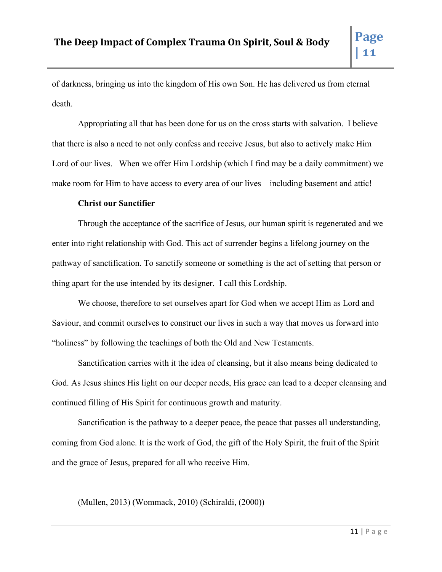of darkness, bringing us into the kingdom of His own Son. He has delivered us from eternal death.

Appropriating all that has been done for us on the cross starts with salvation. I believe that there is also a need to not only confess and receive Jesus, but also to actively make Him Lord of our lives. When we offer Him Lordship (which I find may be a daily commitment) we make room for Him to have access to every area of our lives – including basement and attic!

## **Christ our Sanctifier**

Through the acceptance of the sacrifice of Jesus, our human spirit is regenerated and we enter into right relationship with God. This act of surrender begins a lifelong journey on the pathway of sanctification. To sanctify someone or something is the act of setting that person or thing apart for the use intended by its designer. I call this Lordship.

We choose, therefore to set ourselves apart for God when we accept Him as Lord and Saviour, and commit ourselves to construct our lives in such a way that moves us forward into "holiness" by following the teachings of both the Old and New Testaments.

Sanctification carries with it the idea of cleansing, but it also means being dedicated to God. As Jesus shines His light on our deeper needs, His grace can lead to a deeper cleansing and continued filling of His Spirit for continuous growth and maturity.

Sanctification is the pathway to a deeper peace, the peace that passes all understanding, coming from God alone. It is the work of God, the gift of the Holy Spirit, the fruit of the Spirit and the grace of Jesus, prepared for all who receive Him.

(Mullen, 2013) (Wommack, 2010) (Schiraldi, (2000))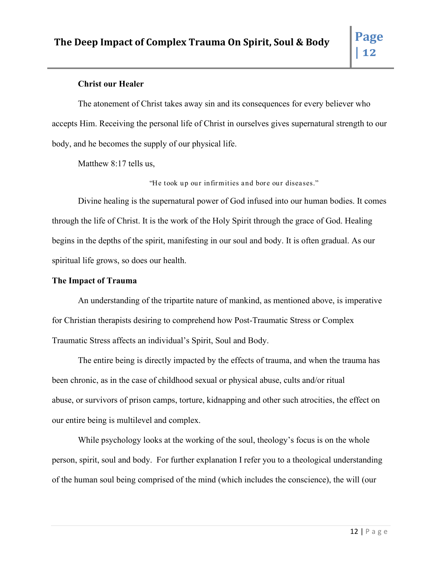## **Christ our Healer**

The atonement of Christ takes away sin and its consequences for every believer who accepts Him. Receiving the personal life of Christ in ourselves gives supernatural strength to our body, and he becomes the supply of our physical life.

Matthew 8:17 tells us,

"He took up our infirmities and bore our diseases."

Divine healing is the supernatural power of God infused into our human bodies. It comes through the life of Christ. It is the work of the Holy Spirit through the grace of God. Healing begins in the depths of the spirit, manifesting in our soul and body. It is often gradual. As our spiritual life grows, so does our health.

## **The Impact of Trauma**

An understanding of the tripartite nature of mankind, as mentioned above, is imperative for Christian therapists desiring to comprehend how Post-Traumatic Stress or Complex Traumatic Stress affects an individual's Spirit, Soul and Body.

The entire being is directly impacted by the effects of trauma, and when the trauma has been chronic, as in the case of childhood sexual or physical abuse, cults and/or ritual abuse, or survivors of prison camps, torture, kidnapping and other such atrocities, the effect on our entire being is multilevel and complex.

While psychology looks at the working of the soul, theology's focus is on the whole person, spirit, soul and body. For further explanation I refer you to a theological understanding of the human soul being comprised of the mind (which includes the conscience), the will (our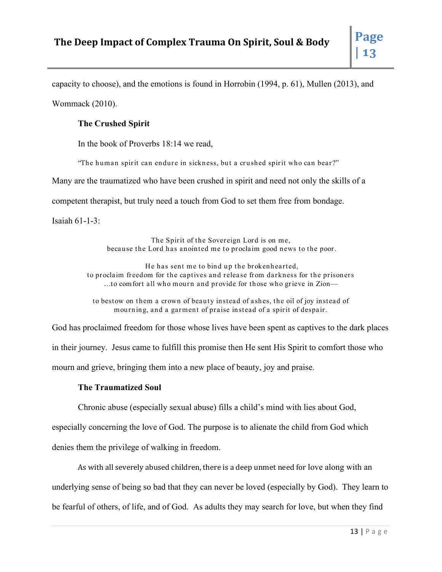capacity to choose), and the emotions is found in Horrobin (1994, p. 61), Mullen (2013), and Wommack (2010).

## **The Crushed Spirit**

In the book of Proverbs 18:14 we read,

"The human spirit can en dure in sickness, but a crushed spirit who can bear?"

Many are the traumatized who have been crushed in spirit and need not only the skills of a

competent therapist, but truly need a touch from God to set them free from bondage.

Isaiah 61-1-3:

The Spirit of the Sovereign Lord is on me, because the Lord has anointed me to proclaim good news to the poor.

He has sent me to bind up the brokenhearted, to proclaim freedom for the captives and release from darkness for the prisoners …to comfort all who mourn and provide for those who grieve in Zion—

to bestow on them a crown of beauty instead of ashes, the oil of joy instead of mourning, and a garment of praise instead of a spirit of despair.

God has proclaimed freedom for those whose lives have been spent as captives to the dark places in their journey. Jesus came to fulfill this promise then He sent His Spirit to comfort those who mourn and grieve, bringing them into a new place of beauty, joy and praise.

## **The Traumatized Soul**

Chronic abuse (especially sexual abuse) fills a child's mind with lies about God,

especially concerning the love of God. The purpose is to alienate the child from God which

denies them the privilege of walking in freedom.

As with all severely abused children, there is a deep unmet need for love along with an underlying sense of being so bad that they can never be loved (especially by God). They learn to be fearful of others, of life, and of God. As adults they may search for love, but when they find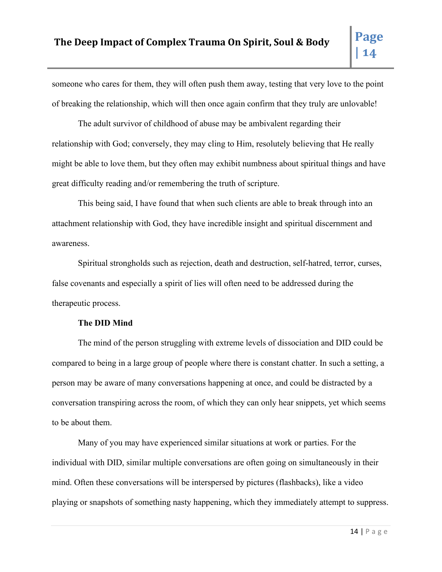someone who cares for them, they will often push them away, testing that very love to the point of breaking the relationship, which will then once again confirm that they truly are unlovable!

The adult survivor of childhood of abuse may be ambivalent regarding their relationship with God; conversely, they may cling to Him, resolutely believing that He really might be able to love them, but they often may exhibit numbness about spiritual things and have great difficulty reading and/or remembering the truth of scripture.

This being said, I have found that when such clients are able to break through into an attachment relationship with God, they have incredible insight and spiritual discernment and awareness.

Spiritual strongholds such as rejection, death and destruction, self-hatred, terror, curses, false covenants and especially a spirit of lies will often need to be addressed during the therapeutic process.

## **The DID Mind**

The mind of the person struggling with extreme levels of dissociation and DID could be compared to being in a large group of people where there is constant chatter. In such a setting, a person may be aware of many conversations happening at once, and could be distracted by a conversation transpiring across the room, of which they can only hear snippets, yet which seems to be about them.

Many of you may have experienced similar situations at work or parties. For the individual with DID, similar multiple conversations are often going on simultaneously in their mind. Often these conversations will be interspersed by pictures (flashbacks), like a video playing or snapshots of something nasty happening, which they immediately attempt to suppress.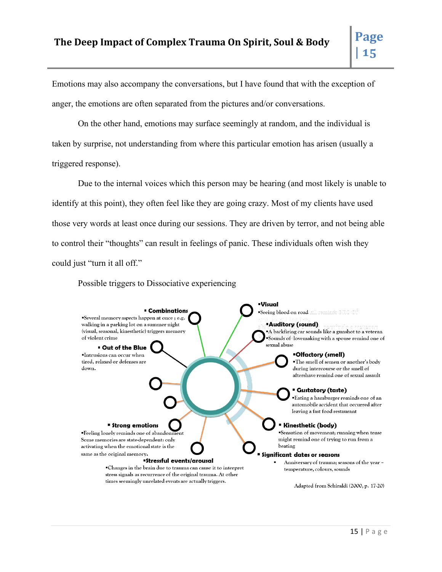Emotions may also accompany the conversations, but I have found that with the exception of anger, the emotions are often separated from the pictures and/or conversations.

On the other hand, emotions may surface seemingly at random, and the individual is taken by surprise, not understanding from where this particular emotion has arisen (usually a triggered response).

Due to the internal voices which this person may be hearing (and most likely is unable to identify at this point), they often feel like they are going crazy. Most of my clients have used those very words at least once during our sessions. They are driven by terror, and not being able to control their "thoughts" can result in feelings of panic. These individuals often wish they could just "turn it all off."

Possible triggers to Dissociative experiencing

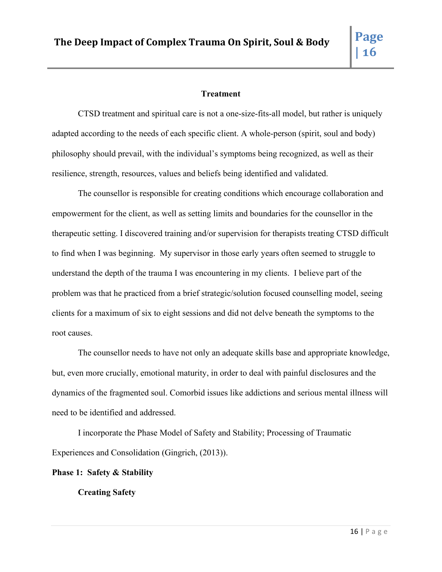## **Treatment**

CTSD treatment and spiritual care is not a one-size-fits-all model, but rather is uniquely adapted according to the needs of each specific client. A whole-person (spirit, soul and body) philosophy should prevail, with the individual's symptoms being recognized, as well as their resilience, strength, resources, values and beliefs being identified and validated.

The counsellor is responsible for creating conditions which encourage collaboration and empowerment for the client, as well as setting limits and boundaries for the counsellor in the therapeutic setting. I discovered training and/or supervision for therapists treating CTSD difficult to find when I was beginning. My supervisor in those early years often seemed to struggle to understand the depth of the trauma I was encountering in my clients. I believe part of the problem was that he practiced from a brief strategic/solution focused counselling model, seeing clients for a maximum of six to eight sessions and did not delve beneath the symptoms to the root causes.

The counsellor needs to have not only an adequate skills base and appropriate knowledge, but, even more crucially, emotional maturity, in order to deal with painful disclosures and the dynamics of the fragmented soul. Comorbid issues like addictions and serious mental illness will need to be identified and addressed.

I incorporate the Phase Model of Safety and Stability; Processing of Traumatic Experiences and Consolidation (Gingrich, (2013)).

**Phase 1: Safety & Stability**

**Creating Safety**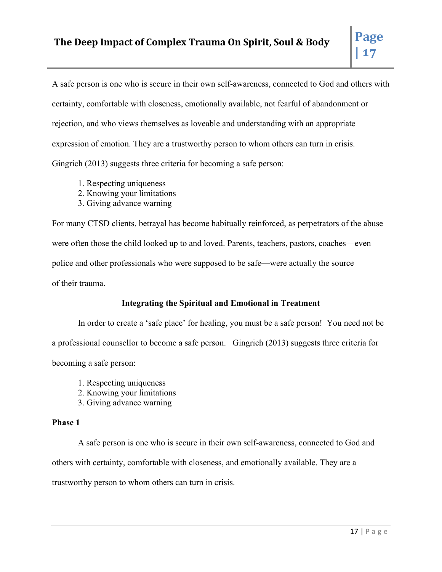A safe person is one who is secure in their own self-awareness, connected to God and others with certainty, comfortable with closeness, emotionally available, not fearful of abandonment or rejection, and who views themselves as loveable and understanding with an appropriate expression of emotion. They are a trustworthy person to whom others can turn in crisis. Gingrich (2013) suggests three criteria for becoming a safe person:

- 1. Respecting uniqueness
- 2. Knowing your limitations
- 3. Giving advance warning

For many CTSD clients, betrayal has become habitually reinforced, as perpetrators of the abuse were often those the child looked up to and loved. Parents, teachers, pastors, coaches—even police and other professionals who were supposed to be safe—were actually the source of their trauma.

## **Integrating the Spiritual and Emotional in Treatment**

In order to create a 'safe place' for healing, you must be a safe person! You need not be a professional counsellor to become a safe person. Gingrich (2013) suggests three criteria for becoming a safe person:

- 1. Respecting uniqueness
- 2. Knowing your limitations
- 3. Giving advance warning

## **Phase 1**

A safe person is one who is secure in their own self-awareness, connected to God and others with certainty, comfortable with closeness, and emotionally available. They are a trustworthy person to whom others can turn in crisis.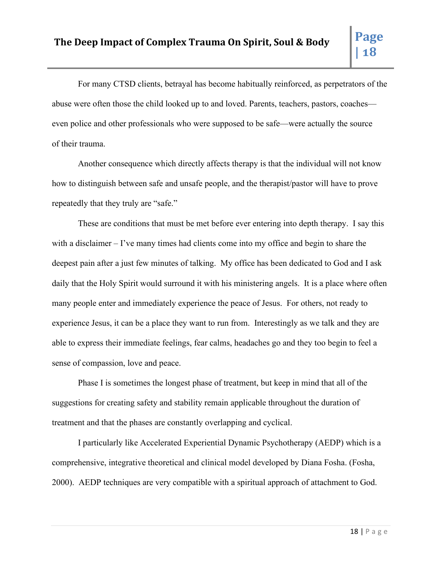For many CTSD clients, betrayal has become habitually reinforced, as perpetrators of the abuse were often those the child looked up to and loved. Parents, teachers, pastors, coaches even police and other professionals who were supposed to be safe—were actually the source of their trauma.

Another consequence which directly affects therapy is that the individual will not know how to distinguish between safe and unsafe people, and the therapist/pastor will have to prove repeatedly that they truly are "safe."

These are conditions that must be met before ever entering into depth therapy. I say this with a disclaimer – I've many times had clients come into my office and begin to share the deepest pain after a just few minutes of talking. My office has been dedicated to God and I ask daily that the Holy Spirit would surround it with his ministering angels. It is a place where often many people enter and immediately experience the peace of Jesus. For others, not ready to experience Jesus, it can be a place they want to run from. Interestingly as we talk and they are able to express their immediate feelings, fear calms, headaches go and they too begin to feel a sense of compassion, love and peace.

Phase I is sometimes the longest phase of treatment, but keep in mind that all of the suggestions for creating safety and stability remain applicable throughout the duration of treatment and that the phases are constantly overlapping and cyclical.

I particularly like Accelerated Experiential Dynamic Psychotherapy (AEDP) which is a comprehensive, integrative theoretical and clinical model developed by Diana Fosha. (Fosha, 2000). AEDP techniques are very compatible with a spiritual approach of attachment to God.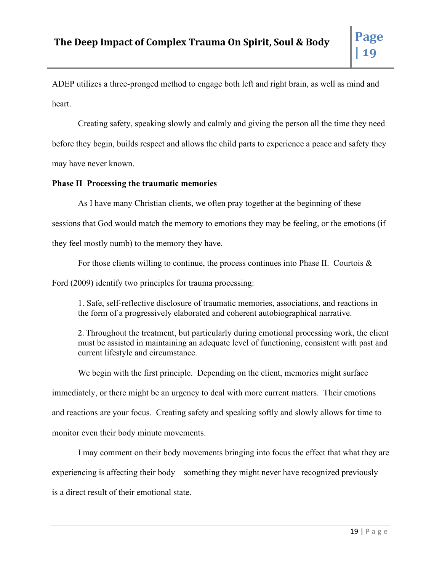ADEP utilizes a three-pronged method to engage both left and right brain, as well as mind and heart.

Creating safety, speaking slowly and calmly and giving the person all the time they need before they begin, builds respect and allows the child parts to experience a peace and safety they may have never known.

## **Phase II Processing the traumatic memories**

As I have many Christian clients, we often pray together at the beginning of these

sessions that God would match the memory to emotions they may be feeling, or the emotions (if

they feel mostly numb) to the memory they have.

For those clients willing to continue, the process continues into Phase II. Courtois  $\&$ 

Ford (2009) identify two principles for trauma processing:

1. Safe, self-reflective disclosure of traumatic memories, associations, and reactions in the form of a progressively elaborated and coherent autobiographical narrative.

2. Throughout the treatment, but particularly during emotional processing work, the client must be assisted in maintaining an adequate level of functioning, consistent with past and current lifestyle and circumstance.

We begin with the first principle. Depending on the client, memories might surface immediately, or there might be an urgency to deal with more current matters. Their emotions and reactions are your focus. Creating safety and speaking softly and slowly allows for time to monitor even their body minute movements.

I may comment on their body movements bringing into focus the effect that what they are experiencing is affecting their body – something they might never have recognized previously – is a direct result of their emotional state.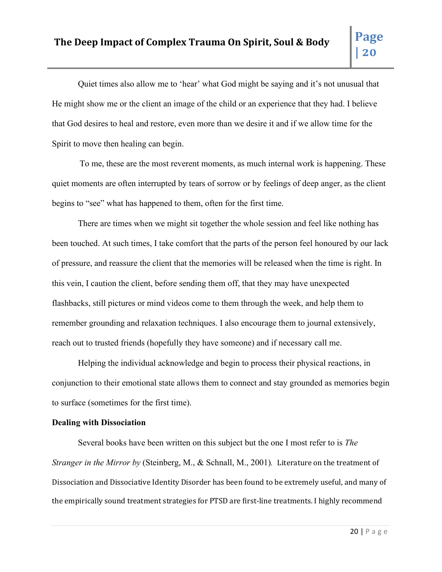Quiet times also allow me to 'hear' what God might be saying and it's not unusual that He might show me or the client an image of the child or an experience that they had. I believe that God desires to heal and restore, even more than we desire it and if we allow time for the Spirit to move then healing can begin.

To me, these are the most reverent moments, as much internal work is happening. These quiet moments are often interrupted by tears of sorrow or by feelings of deep anger, as the client begins to "see" what has happened to them, often for the first time.

There are times when we might sit together the whole session and feel like nothing has been touched. At such times, I take comfort that the parts of the person feel honoured by our lack of pressure, and reassure the client that the memories will be released when the time is right. In this vein, I caution the client, before sending them off, that they may have unexpected flashbacks, still pictures or mind videos come to them through the week, and help them to remember grounding and relaxation techniques. I also encourage them to journal extensively, reach out to trusted friends (hopefully they have someone) and if necessary call me.

Helping the individual acknowledge and begin to process their physical reactions, in conjunction to their emotional state allows them to connect and stay grounded as memories begin to surface (sometimes for the first time).

## **Dealing with Dissociation**

Several books have been written on this subject but the one I most refer to is *The Stranger in the Mirror by* (Steinberg, M., & Schnall, M., 2001)*.* Literature on the treatment of Dissociation and Dissociative Identity Disorder has been found to be extremely useful, and many of the empirically sound treatment strategies for PTSD are first-line treatments. I highly recommend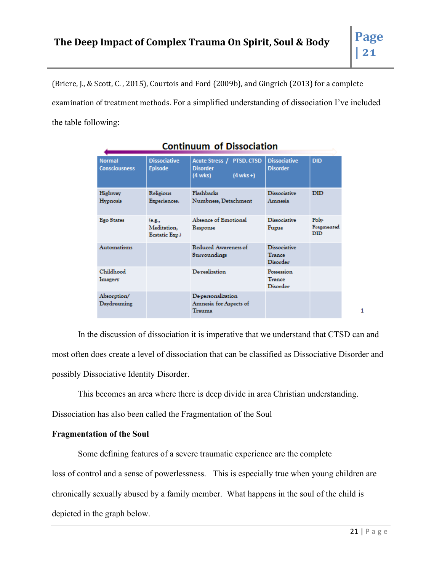(Briere, J., & Scott, C. , 2015), Courtois and Ford (2009b), and Gingrich (2013) for a complete examination of treatment methods. For a simplified understanding of dissociation I've included the table following:

| <b>Normal</b><br><b>Consciousness</b> | <b>Dissociative</b><br><b>Episode</b>   | Acute Stress / PTSD, CTSD<br><b>Disorder</b><br>$(4$ wks +)<br>$(4 \text{ wks})$ | <b>Dissociative</b><br><b>Disorder</b>           | <b>DID</b>                |
|---------------------------------------|-----------------------------------------|----------------------------------------------------------------------------------|--------------------------------------------------|---------------------------|
| Highway<br>Hypnosis                   | Religious<br>Experiences.               | <b>Flashbacks</b><br>Numbness, Detachment                                        | <b>Dissociative</b><br>Amnesia                   | <b>DID</b>                |
| <b>Ego States</b>                     | (e.g.,<br>Meditation,<br>Ecstatic Exp.) | Absence of Emotional<br>Response                                                 | <b>Dissociative</b><br>Fugue                     | Polv<br>Fragmonted<br>DID |
| Automatisms                           |                                         | Reduced Awareness of<br>Surroundings                                             | <b>Dissociative</b><br>Trance<br><b>Disorder</b> |                           |
| Childhood<br>Imagery                  |                                         | <b>De-realization</b>                                                            | Possession<br>Trance<br>Disorder                 |                           |
| Absorption/<br>Davdreaming            |                                         | De-personalization<br>Amnesia for Aspects of<br>Trauma                           |                                                  |                           |

## **Continuum of Dissociation**

In the discussion of dissociation it is imperative that we understand that CTSD can and most often does create a level of dissociation that can be classified as Dissociative Disorder and possibly Dissociative Identity Disorder.

This becomes an area where there is deep divide in area Christian understanding.

Dissociation has also been called the Fragmentation of the Soul

## **Fragmentation of the Soul**

Some defining features of a severe traumatic experience are the complete

loss of control and a sense of powerlessness. This is especially true when young children are

chronically sexually abused by a family member. What happens in the soul of the child is

depicted in the graph below.

1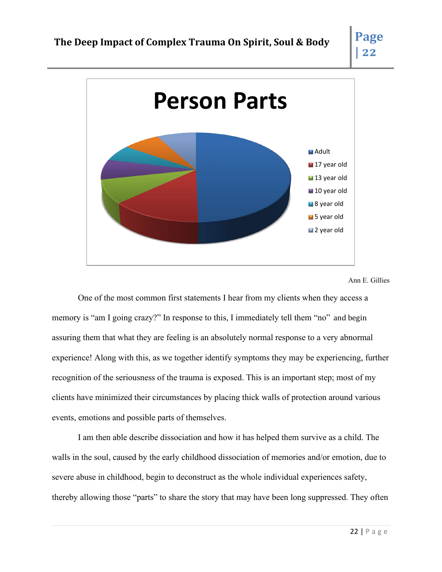

#### Ann E. Gillies

One of the most common first statements I hear from my clients when they access a memory is "am I going crazy?" In response to this, I immediately tell them "no" and begin assuring them that what they are feeling is an absolutely normal response to a very abnormal experience! Along with this, as we together identify symptoms they may be experiencing, further recognition of the seriousness of the trauma is exposed. This is an important step; most of my clients have minimized their circumstances by placing thick walls of protection around various events, emotions and possible parts of themselves.

I am then able describe dissociation and how it has helped them survive as a child. The walls in the soul, caused by the early childhood dissociation of memories and/or emotion, due to severe abuse in childhood, begin to deconstruct as the whole individual experiences safety, thereby allowing those "parts" to share the story that may have been long suppressed. They often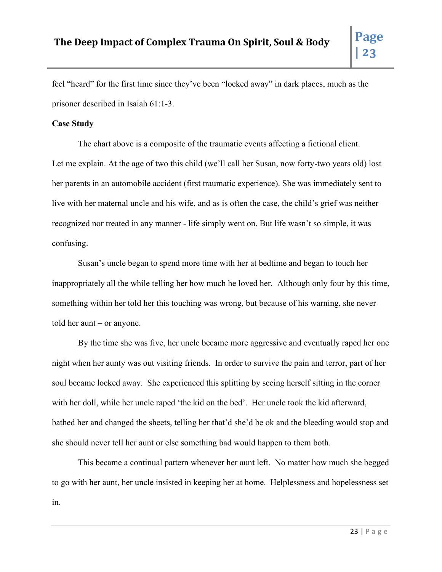feel "heard" for the first time since they've been "locked away" in dark places, much as the prisoner described in Isaiah 61:1-3.

## **Case Study**

The chart above is a composite of the traumatic events affecting a fictional client. Let me explain. At the age of two this child (we'll call her Susan, now forty-two years old) lost her parents in an automobile accident (first traumatic experience). She was immediately sent to live with her maternal uncle and his wife, and as is often the case, the child's grief was neither recognized nor treated in any manner - life simply went on. But life wasn't so simple, it was confusing.

Susan's uncle began to spend more time with her at bedtime and began to touch her inappropriately all the while telling her how much he loved her. Although only four by this time, something within her told her this touching was wrong, but because of his warning, she never told her aunt – or anyone.

By the time she was five, her uncle became more aggressive and eventually raped her one night when her aunty was out visiting friends. In order to survive the pain and terror, part of her soul became locked away. She experienced this splitting by seeing herself sitting in the corner with her doll, while her uncle raped 'the kid on the bed'. Her uncle took the kid afterward, bathed her and changed the sheets, telling her that'd she'd be ok and the bleeding would stop and she should never tell her aunt or else something bad would happen to them both.

This became a continual pattern whenever her aunt left. No matter how much she begged to go with her aunt, her uncle insisted in keeping her at home. Helplessness and hopelessness set in.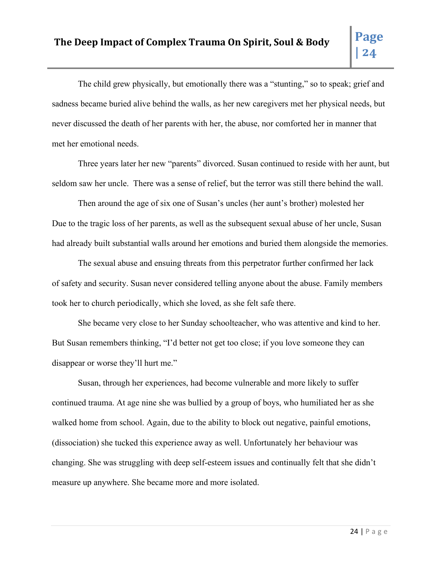The child grew physically, but emotionally there was a "stunting," so to speak; grief and sadness became buried alive behind the walls, as her new caregivers met her physical needs, but never discussed the death of her parents with her, the abuse, nor comforted her in manner that met her emotional needs.

Three years later her new "parents" divorced. Susan continued to reside with her aunt, but seldom saw her uncle. There was a sense of relief, but the terror was still there behind the wall.

Then around the age of six one of Susan's uncles (her aunt's brother) molested her Due to the tragic loss of her parents, as well as the subsequent sexual abuse of her uncle, Susan had already built substantial walls around her emotions and buried them alongside the memories.

The sexual abuse and ensuing threats from this perpetrator further confirmed her lack of safety and security. Susan never considered telling anyone about the abuse. Family members took her to church periodically, which she loved, as she felt safe there.

She became very close to her Sunday schoolteacher, who was attentive and kind to her. But Susan remembers thinking, "I'd better not get too close; if you love someone they can disappear or worse they'll hurt me."

Susan, through her experiences, had become vulnerable and more likely to suffer continued trauma. At age nine she was bullied by a group of boys, who humiliated her as she walked home from school. Again, due to the ability to block out negative, painful emotions, (dissociation) she tucked this experience away as well. Unfortunately her behaviour was changing. She was struggling with deep self-esteem issues and continually felt that she didn't measure up anywhere. She became more and more isolated.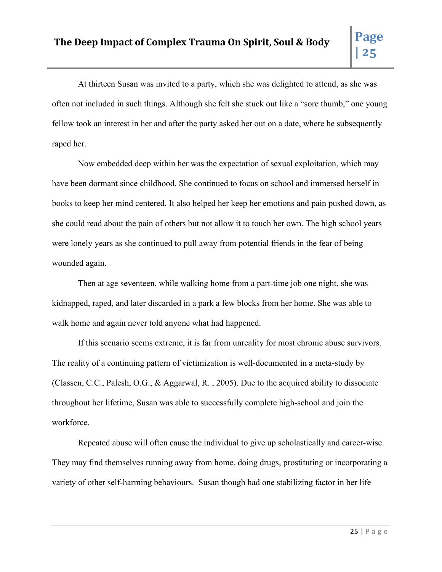At thirteen Susan was invited to a party, which she was delighted to attend, as she was often not included in such things. Although she felt she stuck out like a "sore thumb," one young fellow took an interest in her and after the party asked her out on a date, where he subsequently raped her.

Now embedded deep within her was the expectation of sexual exploitation, which may have been dormant since childhood. She continued to focus on school and immersed herself in books to keep her mind centered. It also helped her keep her emotions and pain pushed down, as she could read about the pain of others but not allow it to touch her own. The high school years were lonely years as she continued to pull away from potential friends in the fear of being wounded again.

Then at age seventeen, while walking home from a part-time job one night, she was kidnapped, raped, and later discarded in a park a few blocks from her home. She was able to walk home and again never told anyone what had happened.

If this scenario seems extreme, it is far from unreality for most chronic abuse survivors. The reality of a continuing pattern of victimization is well-documented in a meta-study by (Classen, C.C., Palesh, O.G., & Aggarwal, R. , 2005). Due to the acquired ability to dissociate throughout her lifetime, Susan was able to successfully complete high-school and join the workforce.

Repeated abuse will often cause the individual to give up scholastically and career-wise. They may find themselves running away from home, doing drugs, prostituting or incorporating a variety of other self-harming behaviours. Susan though had one stabilizing factor in her life –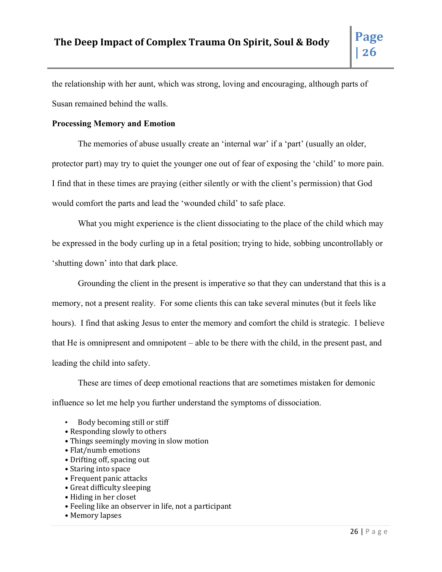the relationship with her aunt, which was strong, loving and encouraging, although parts of Susan remained behind the walls.

## **Processing Memory and Emotion**

The memories of abuse usually create an 'internal war' if a 'part' (usually an older, protector part) may try to quiet the younger one out of fear of exposing the 'child' to more pain. I find that in these times are praying (either silently or with the client's permission) that God would comfort the parts and lead the 'wounded child' to safe place.

What you might experience is the client dissociating to the place of the child which may be expressed in the body curling up in a fetal position; trying to hide, sobbing uncontrollably or 'shutting down' into that dark place.

Grounding the client in the present is imperative so that they can understand that this is a memory, not a present reality. For some clients this can take several minutes (but it feels like hours). I find that asking Jesus to enter the memory and comfort the child is strategic. I believe that He is omnipresent and omnipotent – able to be there with the child, in the present past, and leading the child into safety.

These are times of deep emotional reactions that are sometimes mistaken for demonic influence so let me help you further understand the symptoms of dissociation.

- Body becoming still or stiff
- Responding slowly to others
- Things seemingly moving in slow motion
- Flat/numb emotions
- Drifting off, spacing out
- Staring into space
- Frequent panic attacks
- Great difficulty sleeping
- Hiding in her closet
- Feeling like an observer in life, not a participant
- Memory lapses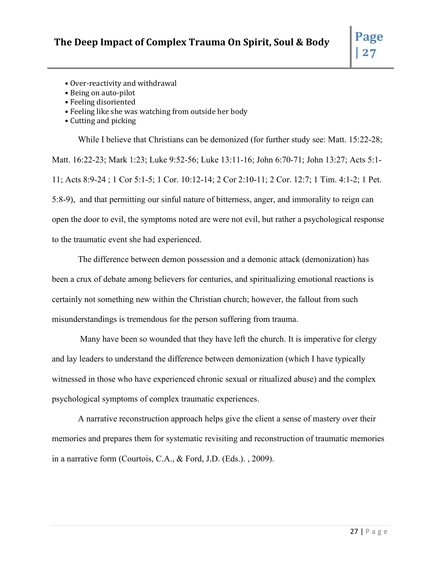- Over-reactivity and withdrawal
- Being on auto-pilot
- Feeling disoriented
- Feeling like she was watching from outside her body
- Cutting and picking

While I believe that Christians can be demonized (for further study see: Matt. 15:22-28; Matt. 16:22-23; Mark 1:23; Luke 9:52-56; Luke 13:11-16; John 6:70-71; John 13:27; Acts 5:1- 11; Acts 8:9-24 ; 1 Cor 5:1-5; 1 Cor. 10:12-14; 2 Cor 2:10-11; 2 Cor. 12:7; 1 Tim. 4:1-2; 1 Pet. 5:8-9), and that permitting our sinful nature of bitterness, anger, and immorality to reign can open the door to evil, the symptoms noted are were not evil, but rather a psychological response to the traumatic event she had experienced.

The difference between demon possession and a demonic attack (demonization) has been a crux of debate among believers for centuries, and spiritualizing emotional reactions is certainly not something new within the Christian church; however, the fallout from such misunderstandings is tremendous for the person suffering from trauma.

Many have been so wounded that they have left the church. It is imperative for clergy and lay leaders to understand the difference between demonization (which I have typically witnessed in those who have experienced chronic sexual or ritualized abuse) and the complex psychological symptoms of complex traumatic experiences.

A narrative reconstruction approach helps give the client a sense of mastery over their memories and prepares them for systematic revisiting and reconstruction of traumatic memories in a narrative form (Courtois, C.A., & Ford, J.D. (Eds.). , 2009).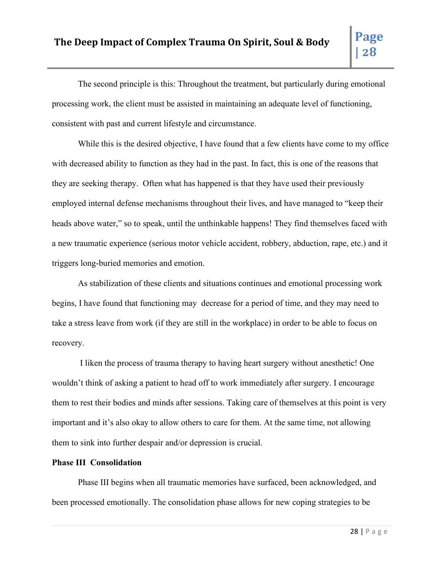The second principle is this: Throughout the treatment, but particularly during emotional processing work, the client must be assisted in maintaining an adequate level of functioning, consistent with past and current lifestyle and circumstance.

While this is the desired objective, I have found that a few clients have come to my office with decreased ability to function as they had in the past. In fact, this is one of the reasons that they are seeking therapy. Often what has happened is that they have used their previously employed internal defense mechanisms throughout their lives, and have managed to "keep their heads above water," so to speak, until the unthinkable happens! They find themselves faced with a new traumatic experience (serious motor vehicle accident, robbery, abduction, rape, etc.) and it triggers long-buried memories and emotion.

As stabilization of these clients and situations continues and emotional processing work begins, I have found that functioning may decrease for a period of time, and they may need to take a stress leave from work (if they are still in the workplace) in order to be able to focus on recovery.

I liken the process of trauma therapy to having heart surgery without anesthetic! One wouldn't think of asking a patient to head off to work immediately after surgery. I encourage them to rest their bodies and minds after sessions. Taking care of themselves at this point is very important and it's also okay to allow others to care for them. At the same time, not allowing them to sink into further despair and/or depression is crucial.

## **Phase III Consolidation**

Phase III begins when all traumatic memories have surfaced, been acknowledged, and been processed emotionally. The consolidation phase allows for new coping strategies to be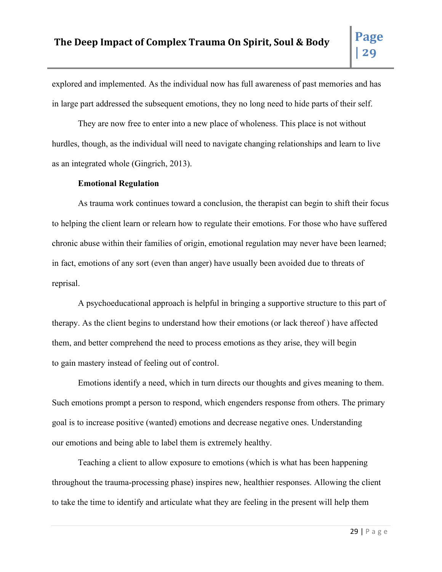explored and implemented. As the individual now has full awareness of past memories and has in large part addressed the subsequent emotions, they no long need to hide parts of their self.

They are now free to enter into a new place of wholeness. This place is not without hurdles, though, as the individual will need to navigate changing relationships and learn to live as an integrated whole (Gingrich, 2013).

#### **Emotional Regulation**

As trauma work continues toward a conclusion, the therapist can begin to shift their focus to helping the client learn or relearn how to regulate their emotions. For those who have suffered chronic abuse within their families of origin, emotional regulation may never have been learned; in fact, emotions of any sort (even than anger) have usually been avoided due to threats of reprisal.

A psychoeducational approach is helpful in bringing a supportive structure to this part of therapy. As the client begins to understand how their emotions (or lack thereof ) have affected them, and better comprehend the need to process emotions as they arise, they will begin to gain mastery instead of feeling out of control.

Emotions identify a need, which in turn directs our thoughts and gives meaning to them. Such emotions prompt a person to respond, which engenders response from others. The primary goal is to increase positive (wanted) emotions and decrease negative ones. Understanding our emotions and being able to label them is extremely healthy.

Teaching a client to allow exposure to emotions (which is what has been happening throughout the trauma-processing phase) inspires new, healthier responses. Allowing the client to take the time to identify and articulate what they are feeling in the present will help them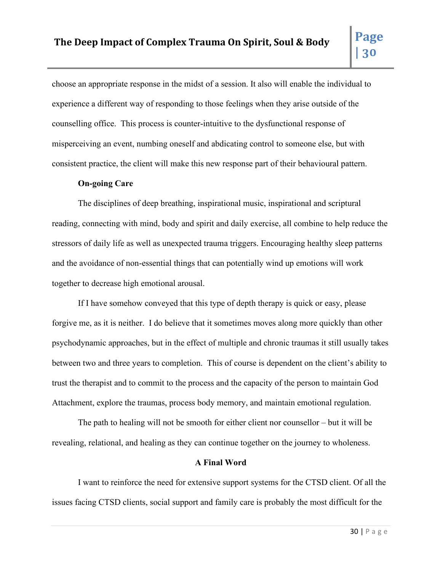choose an appropriate response in the midst of a session. It also will enable the individual to experience a different way of responding to those feelings when they arise outside of the counselling office. This process is counter-intuitive to the dysfunctional response of misperceiving an event, numbing oneself and abdicating control to someone else, but with consistent practice, the client will make this new response part of their behavioural pattern.

#### **On-going Care**

The disciplines of deep breathing, inspirational music, inspirational and scriptural reading, connecting with mind, body and spirit and daily exercise, all combine to help reduce the stressors of daily life as well as unexpected trauma triggers. Encouraging healthy sleep patterns and the avoidance of non-essential things that can potentially wind up emotions will work together to decrease high emotional arousal.

If I have somehow conveyed that this type of depth therapy is quick or easy, please forgive me, as it is neither. I do believe that it sometimes moves along more quickly than other psychodynamic approaches, but in the effect of multiple and chronic traumas it still usually takes between two and three years to completion. This of course is dependent on the client's ability to trust the therapist and to commit to the process and the capacity of the person to maintain God Attachment, explore the traumas, process body memory, and maintain emotional regulation.

The path to healing will not be smooth for either client nor counsellor – but it will be revealing, relational, and healing as they can continue together on the journey to wholeness.

#### **A Final Word**

I want to reinforce the need for extensive support systems for the CTSD client. Of all the issues facing CTSD clients, social support and family care is probably the most difficult for the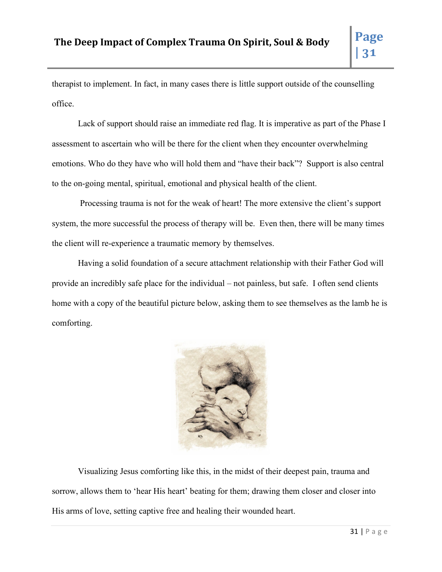therapist to implement. In fact, in many cases there is little support outside of the counselling office.

Lack of support should raise an immediate red flag. It is imperative as part of the Phase I assessment to ascertain who will be there for the client when they encounter overwhelming emotions. Who do they have who will hold them and "have their back"? Support is also central to the on-going mental, spiritual, emotional and physical health of the client.

Processing trauma is not for the weak of heart! The more extensive the client's support system, the more successful the process of therapy will be. Even then, there will be many times the client will re-experience a traumatic memory by themselves.

Having a solid foundation of a secure attachment relationship with their Father God will provide an incredibly safe place for the individual – not painless, but safe. I often send clients home with a copy of the beautiful picture below, asking them to see themselves as the lamb he is comforting.



Visualizing Jesus comforting like this, in the midst of their deepest pain, trauma and sorrow, allows them to 'hear His heart' beating for them; drawing them closer and closer into His arms of love, setting captive free and healing their wounded heart.